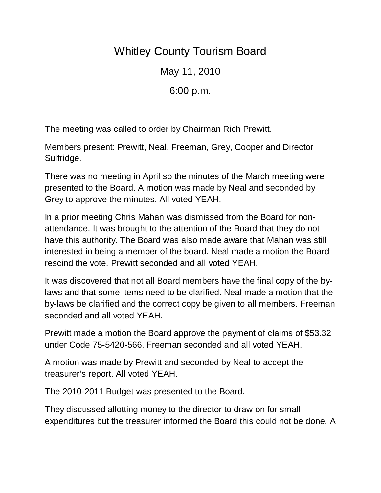## Whitley County Tourism Board

May 11, 2010

6:00 p.m.

The meeting was called to order by Chairman Rich Prewitt.

Members present: Prewitt, Neal, Freeman, Grey, Cooper and Director Sulfridge.

There was no meeting in April so the minutes of the March meeting were presented to the Board. A motion was made by Neal and seconded by Grey to approve the minutes. All voted YEAH.

In a prior meeting Chris Mahan was dismissed from the Board for nonattendance. It was brought to the attention of the Board that they do not have this authority. The Board was also made aware that Mahan was still interested in being a member of the board. Neal made a motion the Board rescind the vote. Prewitt seconded and all voted YEAH.

It was discovered that not all Board members have the final copy of the bylaws and that some items need to be clarified. Neal made a motion that the by-laws be clarified and the correct copy be given to all members. Freeman seconded and all voted YEAH.

Prewitt made a motion the Board approve the payment of claims of \$53.32 under Code 75-5420-566. Freeman seconded and all voted YEAH.

A motion was made by Prewitt and seconded by Neal to accept the treasurer's report. All voted YEAH.

The 2010-2011 Budget was presented to the Board.

They discussed allotting money to the director to draw on for small expenditures but the treasurer informed the Board this could not be done. A